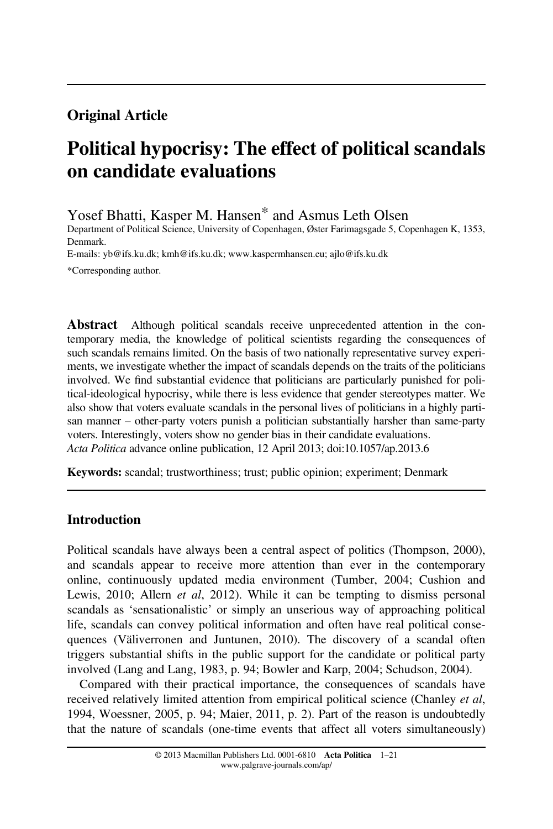## Original Article

# Political hypocrisy: The effect of political scandals on candidate evaluations

Yosef Bhatti, Kasper M. Hansen\* and Asmus Leth Olsen

Department of Political Science, University of Copenhagen, Øster Farimagsgade 5, Copenhagen K, 1353, Denmark.

E-mails: yb@ifs.ku.dk; kmh@ifs.ku.dk; www.kaspermhansen.eu; ajlo@ifs.ku.dk

\*Corresponding author.

Abstract Although political scandals receive unprecedented attention in the contemporary media, the knowledge of political scientists regarding the consequences of such scandals remains limited. On the basis of two nationally representative survey experiments, we investigate whether the impact of scandals depends on the traits of the politicians involved. We find substantial evidence that politicians are particularly punished for political-ideological hypocrisy, while there is less evidence that gender stereotypes matter. We also show that voters evaluate scandals in the personal lives of politicians in a highly partisan manner – other-party voters punish a politician substantially harsher than same-party voters. Interestingly, voters show no gender bias in their candidate evaluations. Acta Politica advance online publication, 12 April 2013; doi:10.1057/ap.2013.6

Keywords: scandal; trustworthiness; trust; public opinion; experiment; Denmark

## Introduction

Political scandals have always been a central aspect of politics (Thompson, 2000), and scandals appear to receive more attention than ever in the contemporary online, continuously updated media environment (Tumber, 2004; Cushion and Lewis, 2010; Allern *et al.*, 2012). While it can be tempting to dismiss personal scandals as 'sensationalistic' or simply an unserious way of approaching political life, scandals can convey political information and often have real political consequences (Väliverronen and Juntunen, 2010). The discovery of a scandal often triggers substantial shifts in the public support for the candidate or political party involved (Lang and Lang, 1983, p. 94; Bowler and Karp, 2004; Schudson, 2004).

Compared with their practical importance, the consequences of scandals have received relatively limited attention from empirical political science (Chanley *et al*, 1994, Woessner, 2005, p. 94; Maier, 2011, p. 2). Part of the reason is undoubtedly that the nature of scandals (one-time events that affect all voters simultaneously)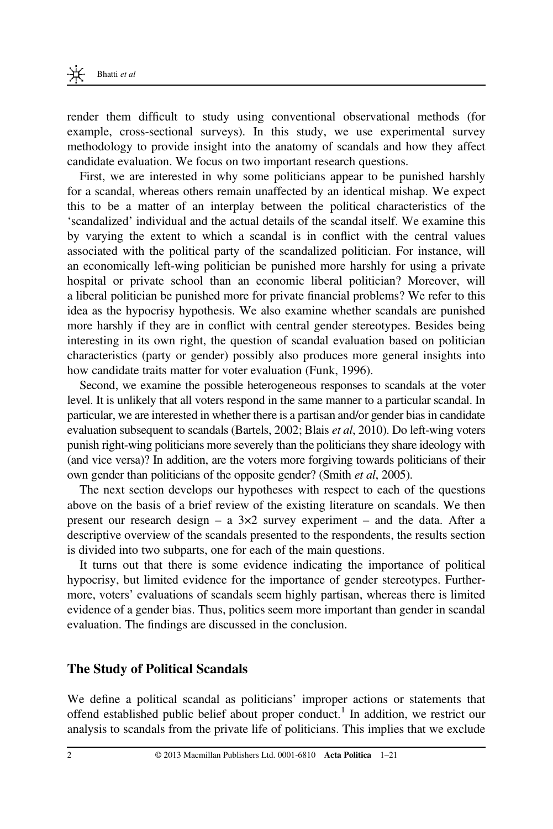render them difficult to study using conventional observational methods (for example, cross-sectional surveys). In this study, we use experimental survey methodology to provide insight into the anatomy of scandals and how they affect candidate evaluation. We focus on two important research questions.

First, we are interested in why some politicians appear to be punished harshly for a scandal, whereas others remain unaffected by an identical mishap. We expect this to be a matter of an interplay between the political characteristics of the 'scandalized' individual and the actual details of the scandal itself. We examine this by varying the extent to which a scandal is in conflict with the central values associated with the political party of the scandalized politician. For instance, will an economically left-wing politician be punished more harshly for using a private hospital or private school than an economic liberal politician? Moreover, will a liberal politician be punished more for private financial problems? We refer to this idea as the hypocrisy hypothesis. We also examine whether scandals are punished more harshly if they are in conflict with central gender stereotypes. Besides being interesting in its own right, the question of scandal evaluation based on politician characteristics (party or gender) possibly also produces more general insights into how candidate traits matter for voter evaluation (Funk, 1996).

Second, we examine the possible heterogeneous responses to scandals at the voter level. It is unlikely that all voters respond in the same manner to a particular scandal. In particular, we are interested in whether there is a partisan and/or gender bias in candidate evaluation subsequent to scandals (Bartels, 2002; Blais et al, 2010). Do left-wing voters punish right-wing politicians more severely than the politicians they share ideology with (and vice versa)? In addition, are the voters more forgiving towards politicians of their own gender than politicians of the opposite gender? (Smith et al, 2005).

The next section develops our hypotheses with respect to each of the questions above on the basis of a brief review of the existing literature on scandals. We then present our research design – a  $3\times 2$  survey experiment – and the data. After a descriptive overview of the scandals presented to the respondents, the results section is divided into two subparts, one for each of the main questions.

It turns out that there is some evidence indicating the importance of political hypocrisy, but limited evidence for the importance of gender stereotypes. Furthermore, voters' evaluations of scandals seem highly partisan, whereas there is limited evidence of a gender bias. Thus, politics seem more important than gender in scandal evaluation. The findings are discussed in the conclusion.

## The Study of Political Scandals

We define a political scandal as politicians' improper actions or statements that offend established public belief about proper conduct.<sup>1</sup> In addition, we restrict our analysis to scandals from the private life of politicians. This implies that we exclude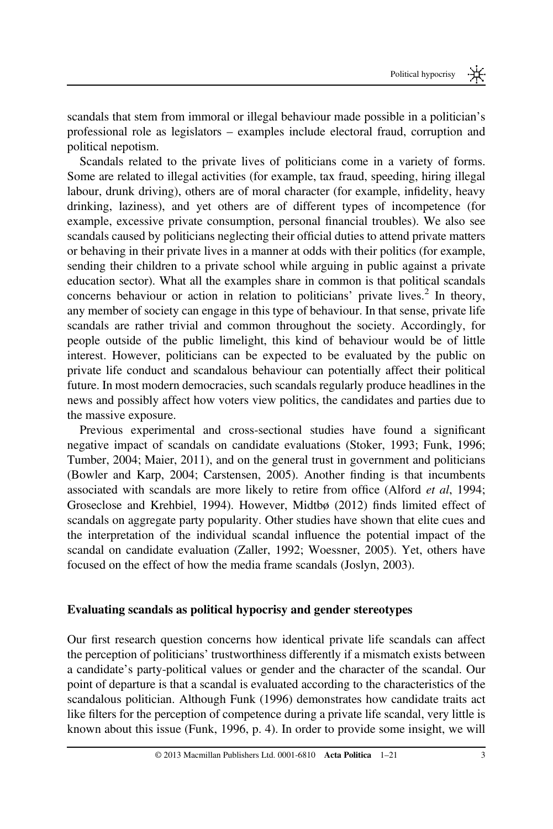scandals that stem from immoral or illegal behaviour made possible in a politician's professional role as legislators – examples include electoral fraud, corruption and political nepotism.

Scandals related to the private lives of politicians come in a variety of forms. Some are related to illegal activities (for example, tax fraud, speeding, hiring illegal labour, drunk driving), others are of moral character (for example, infidelity, heavy drinking, laziness), and yet others are of different types of incompetence (for example, excessive private consumption, personal financial troubles). We also see scandals caused by politicians neglecting their official duties to attend private matters or behaving in their private lives in a manner at odds with their politics (for example, sending their children to a private school while arguing in public against a private education sector). What all the examples share in common is that political scandals concerns behaviour or action in relation to politicians' private lives.<sup>2</sup> In theory, any member of society can engage in this type of behaviour. In that sense, private life scandals are rather trivial and common throughout the society. Accordingly, for people outside of the public limelight, this kind of behaviour would be of little interest. However, politicians can be expected to be evaluated by the public on private life conduct and scandalous behaviour can potentially affect their political future. In most modern democracies, such scandals regularly produce headlines in the news and possibly affect how voters view politics, the candidates and parties due to the massive exposure.

Previous experimental and cross-sectional studies have found a significant negative impact of scandals on candidate evaluations (Stoker, 1993; Funk, 1996; Tumber, 2004; Maier, 2011), and on the general trust in government and politicians (Bowler and Karp, 2004; Carstensen, 2005). Another finding is that incumbents associated with scandals are more likely to retire from office (Alford et al, 1994; Groseclose and Krehbiel, 1994). However, Midtbø (2012) finds limited effect of scandals on aggregate party popularity. Other studies have shown that elite cues and the interpretation of the individual scandal influence the potential impact of the scandal on candidate evaluation (Zaller, 1992; Woessner, 2005). Yet, others have focused on the effect of how the media frame scandals (Joslyn, 2003).

## Evaluating scandals as political hypocrisy and gender stereotypes

Our first research question concerns how identical private life scandals can affect the perception of politicians' trustworthiness differently if a mismatch exists between a candidate's party-political values or gender and the character of the scandal. Our point of departure is that a scandal is evaluated according to the characteristics of the scandalous politician. Although Funk (1996) demonstrates how candidate traits act like filters for the perception of competence during a private life scandal, very little is known about this issue (Funk, 1996, p. 4). In order to provide some insight, we will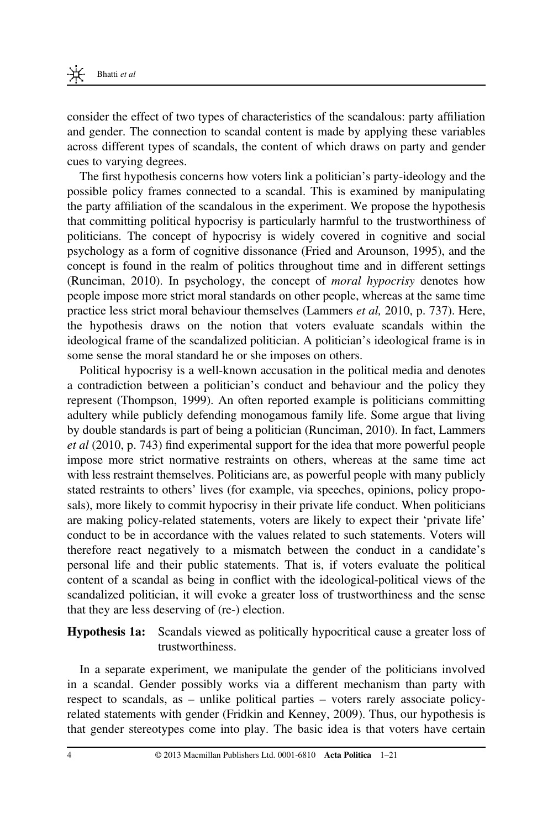consider the effect of two types of characteristics of the scandalous: party affiliation and gender. The connection to scandal content is made by applying these variables across different types of scandals, the content of which draws on party and gender cues to varying degrees.

The first hypothesis concerns how voters link a politician's party-ideology and the possible policy frames connected to a scandal. This is examined by manipulating the party affiliation of the scandalous in the experiment. We propose the hypothesis that committing political hypocrisy is particularly harmful to the trustworthiness of politicians. The concept of hypocrisy is widely covered in cognitive and social psychology as a form of cognitive dissonance (Fried and Arounson, 1995), and the concept is found in the realm of politics throughout time and in different settings (Runciman, 2010). In psychology, the concept of moral hypocrisy denotes how people impose more strict moral standards on other people, whereas at the same time practice less strict moral behaviour themselves (Lammers et al, 2010, p. 737). Here, the hypothesis draws on the notion that voters evaluate scandals within the ideological frame of the scandalized politician. A politician's ideological frame is in some sense the moral standard he or she imposes on others.

Political hypocrisy is a well-known accusation in the political media and denotes a contradiction between a politician's conduct and behaviour and the policy they represent (Thompson, 1999). An often reported example is politicians committing adultery while publicly defending monogamous family life. Some argue that living by double standards is part of being a politician (Runciman, 2010). In fact, Lammers et al (2010, p. 743) find experimental support for the idea that more powerful people impose more strict normative restraints on others, whereas at the same time act with less restraint themselves. Politicians are, as powerful people with many publicly stated restraints to others' lives (for example, via speeches, opinions, policy proposals), more likely to commit hypocrisy in their private life conduct. When politicians are making policy-related statements, voters are likely to expect their 'private life' conduct to be in accordance with the values related to such statements. Voters will therefore react negatively to a mismatch between the conduct in a candidate's personal life and their public statements. That is, if voters evaluate the political content of a scandal as being in conflict with the ideological-political views of the scandalized politician, it will evoke a greater loss of trustworthiness and the sense that they are less deserving of (re-) election.

#### Hypothesis 1a: Scandals viewed as politically hypocritical cause a greater loss of trustworthiness.

In a separate experiment, we manipulate the gender of the politicians involved in a scandal. Gender possibly works via a different mechanism than party with respect to scandals, as – unlike political parties – voters rarely associate policyrelated statements with gender (Fridkin and Kenney, 2009). Thus, our hypothesis is that gender stereotypes come into play. The basic idea is that voters have certain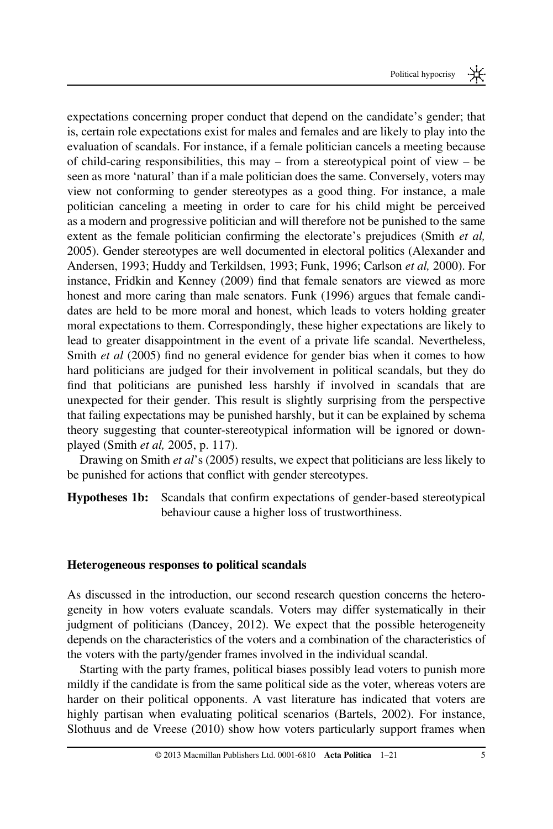expectations concerning proper conduct that depend on the candidate's gender; that is, certain role expectations exist for males and females and are likely to play into the evaluation of scandals. For instance, if a female politician cancels a meeting because of child-caring responsibilities, this may – from a stereotypical point of view – be seen as more 'natural' than if a male politician does the same. Conversely, voters may view not conforming to gender stereotypes as a good thing. For instance, a male politician canceling a meeting in order to care for his child might be perceived as a modern and progressive politician and will therefore not be punished to the same extent as the female politician confirming the electorate's prejudices (Smith *et al,* 2005). Gender stereotypes are well documented in electoral politics (Alexander and Andersen, 1993; Huddy and Terkildsen, 1993; Funk, 1996; Carlson et al, 2000). For instance, Fridkin and Kenney (2009) find that female senators are viewed as more honest and more caring than male senators. Funk (1996) argues that female candidates are held to be more moral and honest, which leads to voters holding greater moral expectations to them. Correspondingly, these higher expectations are likely to lead to greater disappointment in the event of a private life scandal. Nevertheless, Smith *et al* (2005) find no general evidence for gender bias when it comes to how hard politicians are judged for their involvement in political scandals, but they do find that politicians are punished less harshly if involved in scandals that are unexpected for their gender. This result is slightly surprising from the perspective that failing expectations may be punished harshly, but it can be explained by schema theory suggesting that counter-stereotypical information will be ignored or downplayed (Smith et al, 2005, p. 117).

Drawing on Smith et al's (2005) results, we expect that politicians are less likely to be punished for actions that conflict with gender stereotypes.

Hypotheses 1b: Scandals that confirm expectations of gender-based stereotypical behaviour cause a higher loss of trustworthiness.

#### Heterogeneous responses to political scandals

As discussed in the introduction, our second research question concerns the heterogeneity in how voters evaluate scandals. Voters may differ systematically in their judgment of politicians (Dancey, 2012). We expect that the possible heterogeneity depends on the characteristics of the voters and a combination of the characteristics of the voters with the party/gender frames involved in the individual scandal.

Starting with the party frames, political biases possibly lead voters to punish more mildly if the candidate is from the same political side as the voter, whereas voters are harder on their political opponents. A vast literature has indicated that voters are highly partisan when evaluating political scenarios (Bartels, 2002). For instance, Slothuus and de Vreese (2010) show how voters particularly support frames when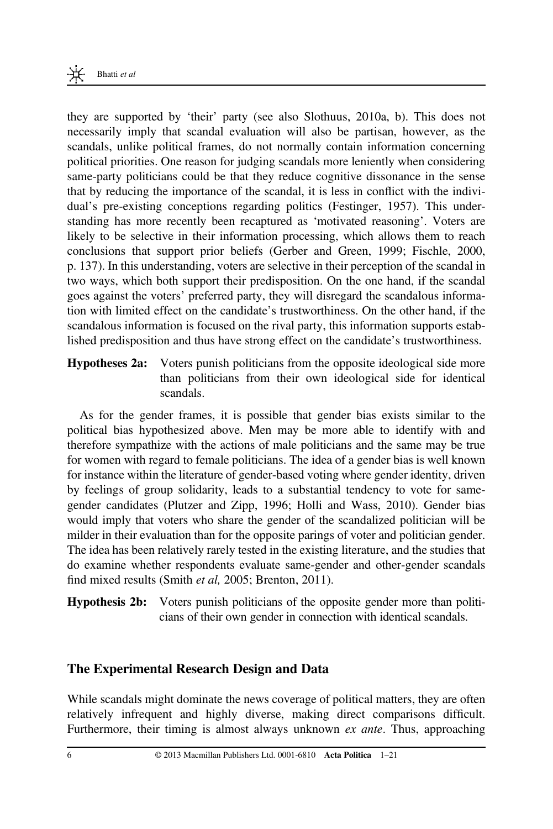

they are supported by 'their' party (see also Slothuus, 2010a, b). This does not necessarily imply that scandal evaluation will also be partisan, however, as the scandals, unlike political frames, do not normally contain information concerning political priorities. One reason for judging scandals more leniently when considering same-party politicians could be that they reduce cognitive dissonance in the sense that by reducing the importance of the scandal, it is less in conflict with the individual's pre-existing conceptions regarding politics (Festinger, 1957). This understanding has more recently been recaptured as 'motivated reasoning'. Voters are likely to be selective in their information processing, which allows them to reach conclusions that support prior beliefs (Gerber and Green, 1999; Fischle, 2000, p. 137). In this understanding, voters are selective in their perception of the scandal in two ways, which both support their predisposition. On the one hand, if the scandal goes against the voters' preferred party, they will disregard the scandalous information with limited effect on the candidate's trustworthiness. On the other hand, if the scandalous information is focused on the rival party, this information supports established predisposition and thus have strong effect on the candidate's trustworthiness.

Hypotheses 2a: Voters punish politicians from the opposite ideological side more than politicians from their own ideological side for identical scandals.

As for the gender frames, it is possible that gender bias exists similar to the political bias hypothesized above. Men may be more able to identify with and therefore sympathize with the actions of male politicians and the same may be true for women with regard to female politicians. The idea of a gender bias is well known for instance within the literature of gender-based voting where gender identity, driven by feelings of group solidarity, leads to a substantial tendency to vote for samegender candidates (Plutzer and Zipp, 1996; Holli and Wass, 2010). Gender bias would imply that voters who share the gender of the scandalized politician will be milder in their evaluation than for the opposite parings of voter and politician gender. The idea has been relatively rarely tested in the existing literature, and the studies that do examine whether respondents evaluate same-gender and other-gender scandals find mixed results (Smith et al, 2005; Brenton, 2011).

Hypothesis 2b: Voters punish politicians of the opposite gender more than politicians of their own gender in connection with identical scandals.

## The Experimental Research Design and Data

While scandals might dominate the news coverage of political matters, they are often relatively infrequent and highly diverse, making direct comparisons difficult. Furthermore, their timing is almost always unknown *ex ante*. Thus, approaching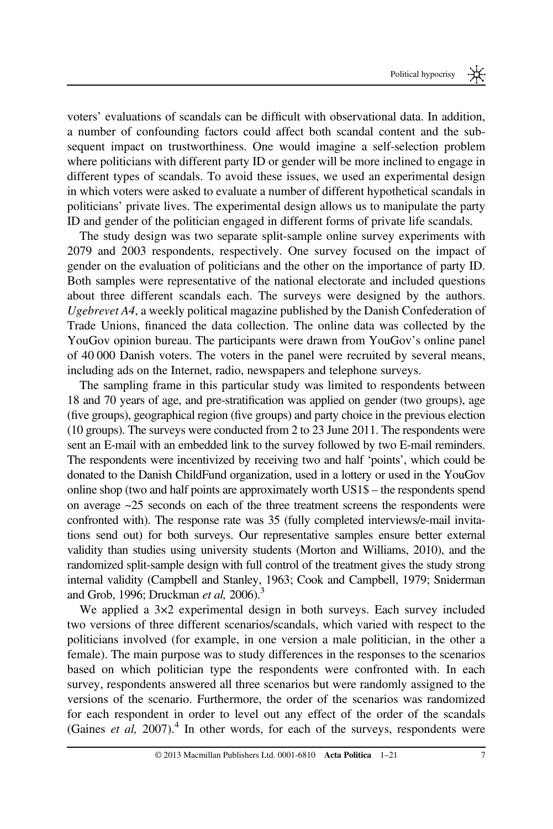voters' evaluations of scandals can be difficult with observational data. In addition, a number of confounding factors could affect both scandal content and the subsequent impact on trustworthiness. One would imagine a self-selection problem where politicians with different party ID or gender will be more inclined to engage in different types of scandals. To avoid these issues, we used an experimental design in which voters were asked to evaluate a number of different hypothetical scandals in politicians' private lives. The experimental design allows us to manipulate the party ID and gender of the politician engaged in different forms of private life scandals.

The study design was two separate split-sample online survey experiments with 2079 and 2003 respondents, respectively. One survey focused on the impact of gender on the evaluation of politicians and the other on the importance of party ID. Both samples were representative of the national electorate and included questions about three different scandals each. The surveys were designed by the authors. Ugebrevet A4, a weekly political magazine published by the Danish Confederation of Trade Unions, financed the data collection. The online data was collected by the YouGov opinion bureau. The participants were drawn from YouGov's online panel of 40 000 Danish voters. The voters in the panel were recruited by several means, including ads on the Internet, radio, newspapers and telephone surveys.

The sampling frame in this particular study was limited to respondents between 18 and 70 years of age, and pre-stratification was applied on gender (two groups), age (five groups), geographical region (five groups) and party choice in the previous election (10 groups). The surveys were conducted from 2 to 23 June 2011. The respondents were sent an E-mail with an embedded link to the survey followed by two E-mail reminders. The respondents were incentivized by receiving two and half 'points', which could be donated to the Danish ChildFund organization, used in a lottery or used in the YouGov online shop (two and half points are approximately worth US1\$ – the respondents spend on average ~25 seconds on each of the three treatment screens the respondents were confronted with). The response rate was 35 (fully completed interviews/e-mail invitations send out) for both surveys. Our representative samples ensure better external validity than studies using university students (Morton and Williams, 2010), and the randomized split-sample design with full control of the treatment gives the study strong internal validity (Campbell and Stanley, 1963; Cook and Campbell, 1979; Sniderman and Grob, 1996; Druckman et al,  $2006$ .<sup>3</sup>

We applied a  $3\times2$  experimental design in both surveys. Each survey included two versions of three different scenarios/scandals, which varied with respect to the politicians involved (for example, in one version a male politician, in the other a female). The main purpose was to study differences in the responses to the scenarios based on which politician type the respondents were confronted with. In each survey, respondents answered all three scenarios but were randomly assigned to the versions of the scenario. Furthermore, the order of the scenarios was randomized for each respondent in order to level out any effect of the order of the scandals (Gaines *et al*, 2007).<sup>4</sup> In other words, for each of the surveys, respondents were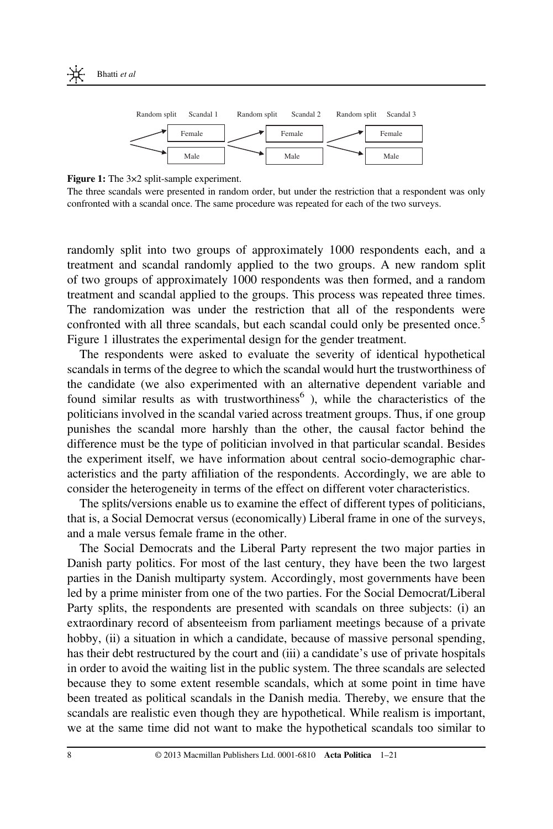

Figure 1: The 3×2 split-sample experiment.

The three scandals were presented in random order, but under the restriction that a respondent was only confronted with a scandal once. The same procedure was repeated for each of the two surveys.

randomly split into two groups of approximately 1000 respondents each, and a treatment and scandal randomly applied to the two groups. A new random split of two groups of approximately 1000 respondents was then formed, and a random treatment and scandal applied to the groups. This process was repeated three times. The randomization was under the restriction that all of the respondents were confronted with all three scandals, but each scandal could only be presented once.<sup>5</sup> Figure 1 illustrates the experimental design for the gender treatment.

The respondents were asked to evaluate the severity of identical hypothetical scandals in terms of the degree to which the scandal would hurt the trustworthiness of the candidate (we also experimented with an alternative dependent variable and found similar results as with trustworthiness<sup>6</sup>), while the characteristics of the politicians involved in the scandal varied across treatment groups. Thus, if one group punishes the scandal more harshly than the other, the causal factor behind the difference must be the type of politician involved in that particular scandal. Besides the experiment itself, we have information about central socio-demographic characteristics and the party affiliation of the respondents. Accordingly, we are able to consider the heterogeneity in terms of the effect on different voter characteristics.

The splits/versions enable us to examine the effect of different types of politicians, that is, a Social Democrat versus (economically) Liberal frame in one of the surveys, and a male versus female frame in the other.

The Social Democrats and the Liberal Party represent the two major parties in Danish party politics. For most of the last century, they have been the two largest parties in the Danish multiparty system. Accordingly, most governments have been led by a prime minister from one of the two parties. For the Social Democrat/Liberal Party splits, the respondents are presented with scandals on three subjects: (i) an extraordinary record of absenteeism from parliament meetings because of a private hobby, (ii) a situation in which a candidate, because of massive personal spending, has their debt restructured by the court and (iii) a candidate's use of private hospitals in order to avoid the waiting list in the public system. The three scandals are selected because they to some extent resemble scandals, which at some point in time have been treated as political scandals in the Danish media. Thereby, we ensure that the scandals are realistic even though they are hypothetical. While realism is important, we at the same time did not want to make the hypothetical scandals too similar to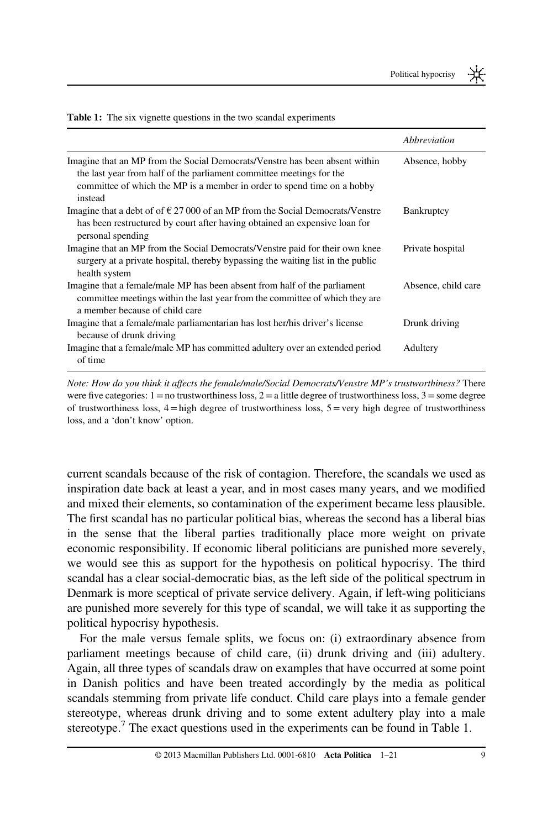|                                                                                                                                                                                                                                           | Abbreviation        |
|-------------------------------------------------------------------------------------------------------------------------------------------------------------------------------------------------------------------------------------------|---------------------|
| Imagine that an MP from the Social Democrats/Venstre has been absent within<br>the last year from half of the parliament committee meetings for the<br>committee of which the MP is a member in order to spend time on a hobby<br>instead | Absence, hobby      |
| Imagine that a debt of of $\epsilon$ 27 000 of an MP from the Social Democrats/Venstre<br>has been restructured by court after having obtained an expensive loan for<br>personal spending                                                 | <b>Bankruptcy</b>   |
| Imagine that an MP from the Social Democrats/Venstre paid for their own knee<br>surgery at a private hospital, thereby bypassing the waiting list in the public<br>health system                                                          | Private hospital    |
| Imagine that a female/male MP has been absent from half of the parliament<br>committee meetings within the last year from the committee of which they are<br>a member because of child care                                               | Absence, child care |
| Imagine that a female/male parliamentarian has lost her/his driver's license<br>because of drunk driving                                                                                                                                  | Drunk driving       |
| Imagine that a female/male MP has committed adultery over an extended period<br>of time                                                                                                                                                   | Adultery            |

Table 1: The six vignette questions in the two scandal experiments

Note: How do you think it affects the female/male/Social Democrats/Venstre MP's trustworthiness? There were five categories:  $1 =$  no trustworthiness loss,  $2 =$  a little degree of trustworthiness loss,  $3 =$  some degree of trustworthiness loss,  $4 =$  high degree of trustworthiness loss,  $5 =$ very high degree of trustworthiness loss, and a 'don't know' option.

current scandals because of the risk of contagion. Therefore, the scandals we used as inspiration date back at least a year, and in most cases many years, and we modified and mixed their elements, so contamination of the experiment became less plausible. The first scandal has no particular political bias, whereas the second has a liberal bias in the sense that the liberal parties traditionally place more weight on private economic responsibility. If economic liberal politicians are punished more severely, we would see this as support for the hypothesis on political hypocrisy. The third scandal has a clear social-democratic bias, as the left side of the political spectrum in Denmark is more sceptical of private service delivery. Again, if left-wing politicians are punished more severely for this type of scandal, we will take it as supporting the political hypocrisy hypothesis.

For the male versus female splits, we focus on: (i) extraordinary absence from parliament meetings because of child care, (ii) drunk driving and (iii) adultery. Again, all three types of scandals draw on examples that have occurred at some point in Danish politics and have been treated accordingly by the media as political scandals stemming from private life conduct. Child care plays into a female gender stereotype, whereas drunk driving and to some extent adultery play into a male stereotype.<sup>7</sup> The exact questions used in the experiments can be found in Table 1.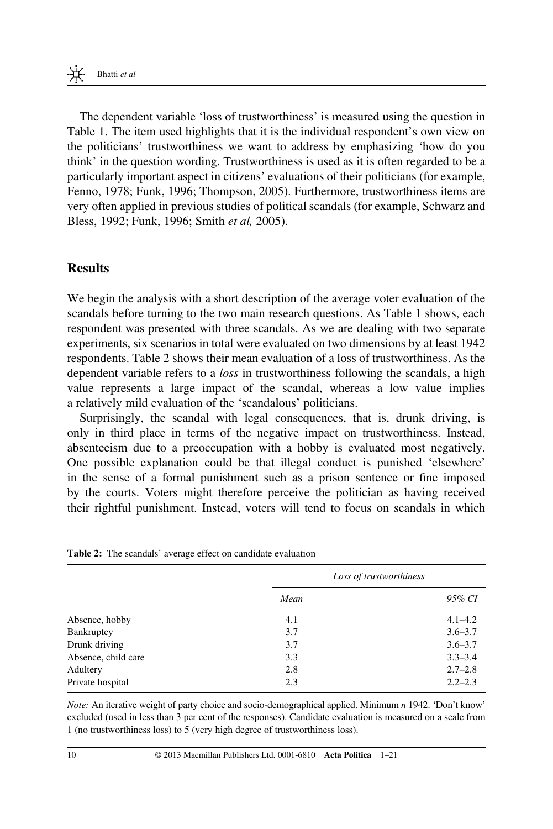The dependent variable 'loss of trustworthiness' is measured using the question in Table 1. The item used highlights that it is the individual respondent's own view on the politicians' trustworthiness we want to address by emphasizing 'how do you think' in the question wording. Trustworthiness is used as it is often regarded to be a particularly important aspect in citizens' evaluations of their politicians (for example, Fenno, 1978; Funk, 1996; Thompson, 2005). Furthermore, trustworthiness items are very often applied in previous studies of political scandals (for example, Schwarz and Bless, 1992; Funk, 1996; Smith et al, 2005).

## Results

We begin the analysis with a short description of the average voter evaluation of the scandals before turning to the two main research questions. As Table 1 shows, each respondent was presented with three scandals. As we are dealing with two separate experiments, six scenarios in total were evaluated on two dimensions by at least 1942 respondents. Table 2 shows their mean evaluation of a loss of trustworthiness. As the dependent variable refers to a *loss* in trustworthiness following the scandals, a high value represents a large impact of the scandal, whereas a low value implies a relatively mild evaluation of the 'scandalous' politicians.

Surprisingly, the scandal with legal consequences, that is, drunk driving, is only in third place in terms of the negative impact on trustworthiness. Instead, absenteeism due to a preoccupation with a hobby is evaluated most negatively. One possible explanation could be that illegal conduct is punished 'elsewhere' in the sense of a formal punishment such as a prison sentence or fine imposed by the courts. Voters might therefore perceive the politician as having received their rightful punishment. Instead, voters will tend to focus on scandals in which

|                     | Loss of trustworthiness |             |  |
|---------------------|-------------------------|-------------|--|
|                     | Mean                    | 95% CI      |  |
| Absence, hobby      | 4.1                     | $4.1 - 4.2$ |  |
| Bankruptcy          | 3.7                     | $3.6 - 3.7$ |  |
| Drunk driving       | 3.7                     | $3.6 - 3.7$ |  |
| Absence, child care | 3.3                     | $3.3 - 3.4$ |  |
| Adultery            | 2.8                     | $2.7 - 2.8$ |  |
| Private hospital    | 2.3                     | $2.2 - 2.3$ |  |

Table 2: The scandals' average effect on candidate evaluation

Note: An iterative weight of party choice and socio-demographical applied. Minimum n 1942. 'Don't know' excluded (used in less than 3 per cent of the responses). Candidate evaluation is measured on a scale from 1 (no trustworthiness loss) to 5 (very high degree of trustworthiness loss).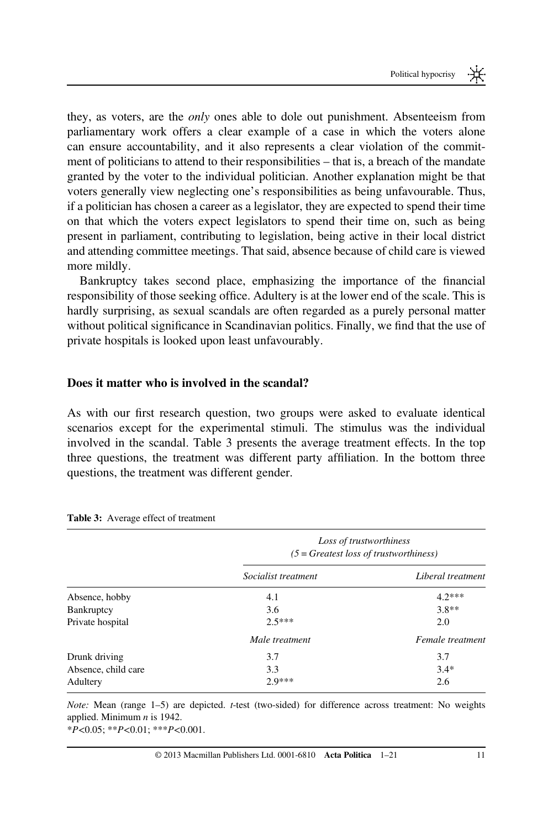they, as voters, are the only ones able to dole out punishment. Absenteeism from parliamentary work offers a clear example of a case in which the voters alone can ensure accountability, and it also represents a clear violation of the commitment of politicians to attend to their responsibilities – that is, a breach of the mandate granted by the voter to the individual politician. Another explanation might be that voters generally view neglecting one's responsibilities as being unfavourable. Thus, if a politician has chosen a career as a legislator, they are expected to spend their time on that which the voters expect legislators to spend their time on, such as being present in parliament, contributing to legislation, being active in their local district and attending committee meetings. That said, absence because of child care is viewed more mildly.

Bankruptcy takes second place, emphasizing the importance of the financial responsibility of those seeking office. Adultery is at the lower end of the scale. This is hardly surprising, as sexual scandals are often regarded as a purely personal matter without political significance in Scandinavian politics. Finally, we find that the use of private hospitals is looked upon least unfavourably.

#### Does it matter who is involved in the scandal?

As with our first research question, two groups were asked to evaluate identical scenarios except for the experimental stimuli. The stimulus was the individual involved in the scandal. Table 3 presents the average treatment effects. In the top three questions, the treatment was different party affiliation. In the bottom three questions, the treatment was different gender.

|                     | Loss of trustworthiness<br>$(5 = \text{Greatest loss of trustworthiness})$ |                   |  |
|---------------------|----------------------------------------------------------------------------|-------------------|--|
|                     | Socialist treatment                                                        | Liberal treatment |  |
| Absence, hobby      | 4.1                                                                        | $4.2***$          |  |
| <b>Bankruptcy</b>   | 3.6                                                                        | $3.8**$           |  |
| Private hospital    | $2.5***$                                                                   | 2.0               |  |
|                     | Male treatment                                                             | Female treatment  |  |
| Drunk driving       | 3.7                                                                        | 3.7               |  |
| Absence, child care | 3.3                                                                        | $3.4*$            |  |
| Adultery            | $2.9***$                                                                   | 2.6               |  |

| <b>Table 3:</b> Average effect of treatment |  |  |
|---------------------------------------------|--|--|
|---------------------------------------------|--|--|

Note: Mean (range 1–5) are depicted. t-test (two-sided) for difference across treatment: No weights applied. Minimum  $n$  is 1942.

 $*P<0.05$ ;  $*P<0.01$ ;  $**P<0.001$ .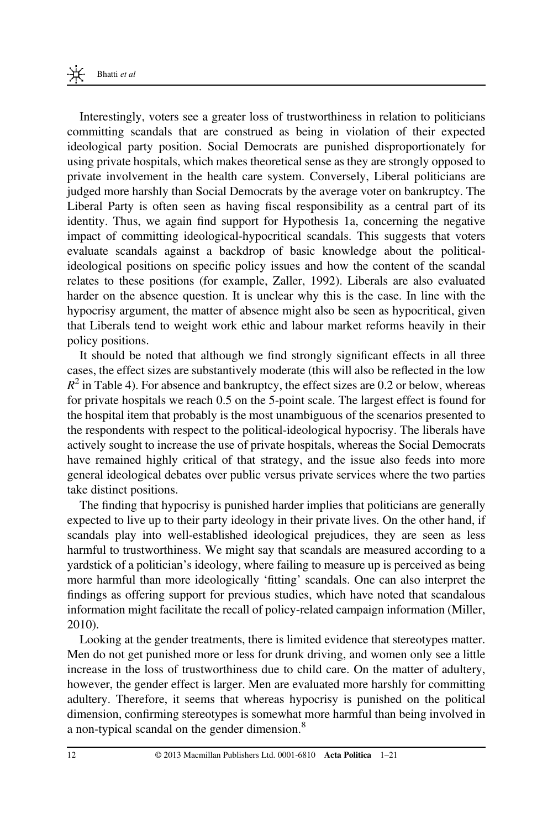Interestingly, voters see a greater loss of trustworthiness in relation to politicians committing scandals that are construed as being in violation of their expected ideological party position. Social Democrats are punished disproportionately for using private hospitals, which makes theoretical sense as they are strongly opposed to private involvement in the health care system. Conversely, Liberal politicians are judged more harshly than Social Democrats by the average voter on bankruptcy. The Liberal Party is often seen as having fiscal responsibility as a central part of its identity. Thus, we again find support for Hypothesis 1a, concerning the negative impact of committing ideological-hypocritical scandals. This suggests that voters evaluate scandals against a backdrop of basic knowledge about the politicalideological positions on specific policy issues and how the content of the scandal relates to these positions (for example, Zaller, 1992). Liberals are also evaluated harder on the absence question. It is unclear why this is the case. In line with the hypocrisy argument, the matter of absence might also be seen as hypocritical, given that Liberals tend to weight work ethic and labour market reforms heavily in their policy positions.

It should be noted that although we find strongly significant effects in all three cases, the effect sizes are substantively moderate (this will also be reflected in the low  $R^2$  in Table 4). For absence and bankruptcy, the effect sizes are 0.2 or below, whereas for private hospitals we reach 0.5 on the 5-point scale. The largest effect is found for the hospital item that probably is the most unambiguous of the scenarios presented to the respondents with respect to the political-ideological hypocrisy. The liberals have actively sought to increase the use of private hospitals, whereas the Social Democrats have remained highly critical of that strategy, and the issue also feeds into more general ideological debates over public versus private services where the two parties take distinct positions.

The finding that hypocrisy is punished harder implies that politicians are generally expected to live up to their party ideology in their private lives. On the other hand, if scandals play into well-established ideological prejudices, they are seen as less harmful to trustworthiness. We might say that scandals are measured according to a yardstick of a politician's ideology, where failing to measure up is perceived as being more harmful than more ideologically 'fitting' scandals. One can also interpret the findings as offering support for previous studies, which have noted that scandalous information might facilitate the recall of policy-related campaign information (Miller, 2010).

Looking at the gender treatments, there is limited evidence that stereotypes matter. Men do not get punished more or less for drunk driving, and women only see a little increase in the loss of trustworthiness due to child care. On the matter of adultery, however, the gender effect is larger. Men are evaluated more harshly for committing adultery. Therefore, it seems that whereas hypocrisy is punished on the political dimension, confirming stereotypes is somewhat more harmful than being involved in a non-typical scandal on the gender dimension.<sup>8</sup>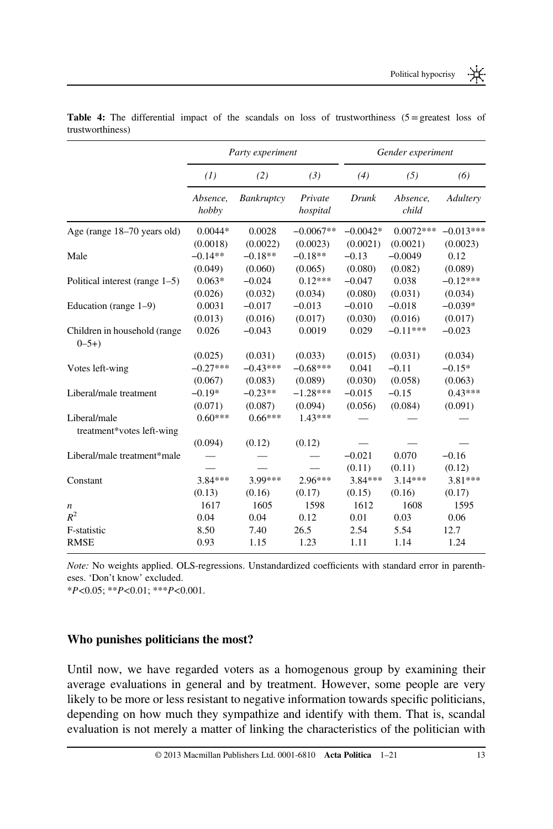|                                           | Party experiment  |            | Gender experiment   |            |                   |             |
|-------------------------------------------|-------------------|------------|---------------------|------------|-------------------|-------------|
|                                           | (1)               | (2)        | (3)                 | (4)        | (5)               | (6)         |
|                                           | Absence,<br>hobby | Bankruptcy | Private<br>hospital | Drunk      | Absence,<br>child | Adultery    |
| Age (range 18-70 years old)               | $0.0044*$         | 0.0028     | $-0.0067**$         | $-0.0042*$ | $0.0072***$       | $-0.013***$ |
|                                           | (0.0018)          | (0.0022)   | (0.0023)            | (0.0021)   | (0.0021)          | (0.0023)    |
| Male                                      | $-0.14**$         | $-0.18**$  | $-0.18**$           | $-0.13$    | $-0.0049$         | 0.12        |
|                                           | (0.049)           | (0.060)    | (0.065)             | (0.080)    | (0.082)           | (0.089)     |
| Political interest (range 1–5)            | $0.063*$          | $-0.024$   | $0.12***$           | $-0.047$   | 0.038             | $-0.12***$  |
|                                           | (0.026)           | (0.032)    | (0.034)             | (0.080)    | (0.031)           | (0.034)     |
| Education (range 1–9)                     | 0.0031            | $-0.017$   | $-0.013$            | $-0.010$   | $-0.018$          | $-0.039*$   |
|                                           | (0.013)           | (0.016)    | (0.017)             | (0.030)    | (0.016)           | (0.017)     |
| Children in household (range<br>$0 - 5 +$ | 0.026             | $-0.043$   | 0.0019              | 0.029      | $-0.11***$        | $-0.023$    |
|                                           | (0.025)           | (0.031)    | (0.033)             | (0.015)    | (0.031)           | (0.034)     |
| Votes left-wing                           | $-0.27***$        | $-0.43***$ | $-0.68***$          | 0.041      | $-0.11$           | $-0.15*$    |
|                                           | (0.067)           | (0.083)    | (0.089)             | (0.030)    | (0.058)           | (0.063)     |
| Liberal/male treatment                    | $-0.19*$          | $-0.23**$  | $-1.28***$          | $-0.015$   | $-0.15$           | $0.43***$   |
|                                           | (0.071)           | (0.087)    | (0.094)             | (0.056)    | (0.084)           | (0.091)     |
| Liberal/male                              | $0.60***$         | $0.66***$  | $1.43***$           |            |                   |             |
| treatment*votes left-wing                 |                   |            |                     |            |                   |             |
|                                           | (0.094)           | (0.12)     | (0.12)              |            |                   |             |
| Liberal/male treatment*male               |                   |            |                     | $-0.021$   | 0.070             | $-0.16$     |
|                                           |                   |            |                     | (0.11)     | (0.11)            | (0.12)      |
| Constant                                  | 3.84 ***          | 3.99***    | $2.96***$           | $3.84***$  | $3.14***$         | 3.81***     |
|                                           | (0.13)            | (0.16)     | (0.17)              | (0.15)     | (0.16)            | (0.17)      |
| n                                         | 1617              | 1605       | 1598                | 1612       | 1608              | 1595        |
| $R^2$                                     | 0.04              | 0.04       | 0.12                | 0.01       | 0.03              | 0.06        |
| F-statistic                               | 8.50              | 7.40       | 26.5                | 2.54       | 5.54              | 12.7        |
| <b>RMSE</b>                               | 0.93              | 1.15       | 1.23                | 1.11       | 1.14              | 1.24        |

Table 4: The differential impact of the scandals on loss of trustworthiness (5=greatest loss of trustworthiness)

Note: No weights applied. OLS-regressions. Unstandardized coefficients with standard error in parentheses. 'Don't know' excluded.

 $*P<0.05$ ;  $*P<0.01$ ;  $**P<0.001$ .

#### Who punishes politicians the most?

Until now, we have regarded voters as a homogenous group by examining their average evaluations in general and by treatment. However, some people are very likely to be more or less resistant to negative information towards specific politicians, depending on how much they sympathize and identify with them. That is, scandal evaluation is not merely a matter of linking the characteristics of the politician with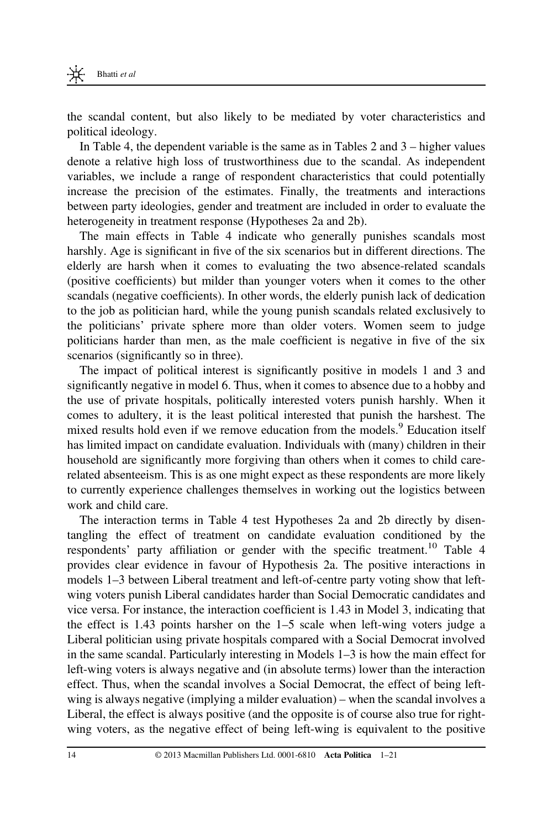the scandal content, but also likely to be mediated by voter characteristics and political ideology.

In Table 4, the dependent variable is the same as in Tables 2 and 3 – higher values denote a relative high loss of trustworthiness due to the scandal. As independent variables, we include a range of respondent characteristics that could potentially increase the precision of the estimates. Finally, the treatments and interactions between party ideologies, gender and treatment are included in order to evaluate the heterogeneity in treatment response (Hypotheses 2a and 2b).

The main effects in Table 4 indicate who generally punishes scandals most harshly. Age is significant in five of the six scenarios but in different directions. The elderly are harsh when it comes to evaluating the two absence-related scandals (positive coefficients) but milder than younger voters when it comes to the other scandals (negative coefficients). In other words, the elderly punish lack of dedication to the job as politician hard, while the young punish scandals related exclusively to the politicians' private sphere more than older voters. Women seem to judge politicians harder than men, as the male coefficient is negative in five of the six scenarios (significantly so in three).

The impact of political interest is significantly positive in models 1 and 3 and significantly negative in model 6. Thus, when it comes to absence due to a hobby and the use of private hospitals, politically interested voters punish harshly. When it comes to adultery, it is the least political interested that punish the harshest. The mixed results hold even if we remove education from the models.<sup>9</sup> Education itself has limited impact on candidate evaluation. Individuals with (many) children in their household are significantly more forgiving than others when it comes to child carerelated absenteeism. This is as one might expect as these respondents are more likely to currently experience challenges themselves in working out the logistics between work and child care.

The interaction terms in Table 4 test Hypotheses 2a and 2b directly by disentangling the effect of treatment on candidate evaluation conditioned by the respondents' party affiliation or gender with the specific treatment.<sup>10</sup> Table 4 provides clear evidence in favour of Hypothesis 2a. The positive interactions in models 1–3 between Liberal treatment and left-of-centre party voting show that leftwing voters punish Liberal candidates harder than Social Democratic candidates and vice versa. For instance, the interaction coefficient is 1.43 in Model 3, indicating that the effect is 1.43 points harsher on the 1–5 scale when left-wing voters judge a Liberal politician using private hospitals compared with a Social Democrat involved in the same scandal. Particularly interesting in Models 1–3 is how the main effect for left-wing voters is always negative and (in absolute terms) lower than the interaction effect. Thus, when the scandal involves a Social Democrat, the effect of being leftwing is always negative (implying a milder evaluation) – when the scandal involves a Liberal, the effect is always positive (and the opposite is of course also true for rightwing voters, as the negative effect of being left-wing is equivalent to the positive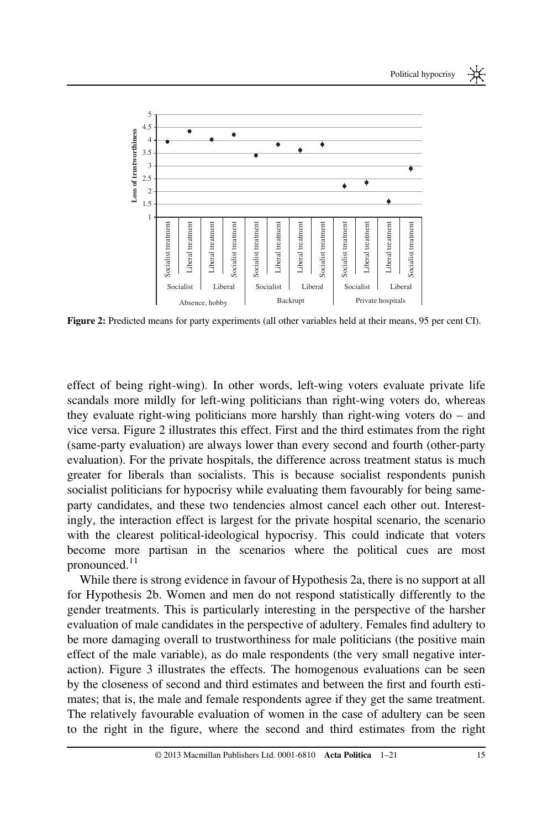

Figure 2: Predicted means for party experiments (all other variables held at their means, 95 per cent CI).

effect of being right-wing). In other words, left-wing voters evaluate private life scandals more mildly for left-wing politicians than right-wing voters do, whereas they evaluate right-wing politicians more harshly than right-wing voters do – and vice versa. Figure 2 illustrates this effect. First and the third estimates from the right (same-party evaluation) are always lower than every second and fourth (other-party evaluation). For the private hospitals, the difference across treatment status is much greater for liberals than socialists. This is because socialist respondents punish socialist politicians for hypocrisy while evaluating them favourably for being sameparty candidates, and these two tendencies almost cancel each other out. Interestingly, the interaction effect is largest for the private hospital scenario, the scenario with the clearest political-ideological hypocrisy. This could indicate that voters become more partisan in the scenarios where the political cues are most pronounced.<sup>11</sup>

While there is strong evidence in favour of Hypothesis 2a, there is no support at all for Hypothesis 2b. Women and men do not respond statistically differently to the gender treatments. This is particularly interesting in the perspective of the harsher evaluation of male candidates in the perspective of adultery. Females find adultery to be more damaging overall to trustworthiness for male politicians (the positive main effect of the male variable), as do male respondents (the very small negative interaction). Figure 3 illustrates the effects. The homogenous evaluations can be seen by the closeness of second and third estimates and between the first and fourth estimates; that is, the male and female respondents agree if they get the same treatment. The relatively favourable evaluation of women in the case of adultery can be seen to the right in the figure, where the second and third estimates from the right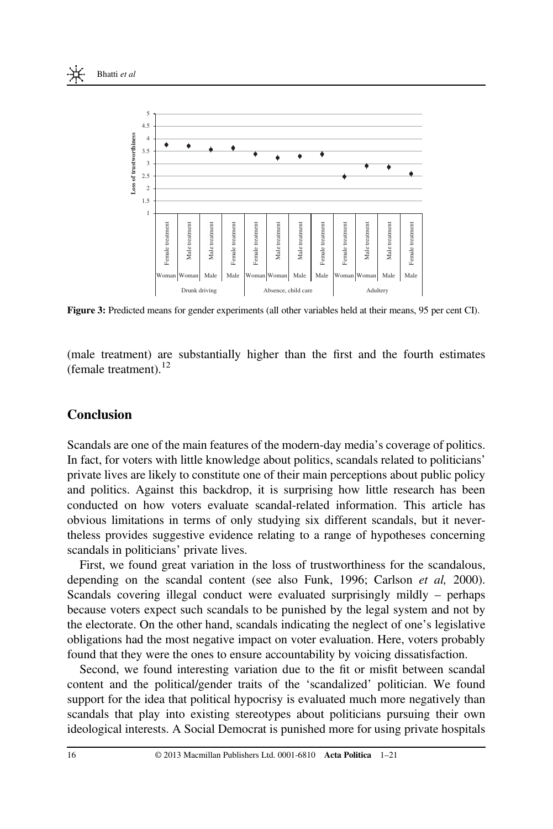



Figure 3: Predicted means for gender experiments (all other variables held at their means, 95 per cent CI).

(male treatment) are substantially higher than the first and the fourth estimates (female treatment). $12$ 

### Conclusion

Scandals are one of the main features of the modern-day media's coverage of politics. In fact, for voters with little knowledge about politics, scandals related to politicians' private lives are likely to constitute one of their main perceptions about public policy and politics. Against this backdrop, it is surprising how little research has been conducted on how voters evaluate scandal-related information. This article has obvious limitations in terms of only studying six different scandals, but it nevertheless provides suggestive evidence relating to a range of hypotheses concerning scandals in politicians' private lives.

First, we found great variation in the loss of trustworthiness for the scandalous, depending on the scandal content (see also Funk, 1996; Carlson  $et$  al, 2000). Scandals covering illegal conduct were evaluated surprisingly mildly – perhaps because voters expect such scandals to be punished by the legal system and not by the electorate. On the other hand, scandals indicating the neglect of one's legislative obligations had the most negative impact on voter evaluation. Here, voters probably found that they were the ones to ensure accountability by voicing dissatisfaction.

Second, we found interesting variation due to the fit or misfit between scandal content and the political/gender traits of the 'scandalized' politician. We found support for the idea that political hypocrisy is evaluated much more negatively than scandals that play into existing stereotypes about politicians pursuing their own ideological interests. A Social Democrat is punished more for using private hospitals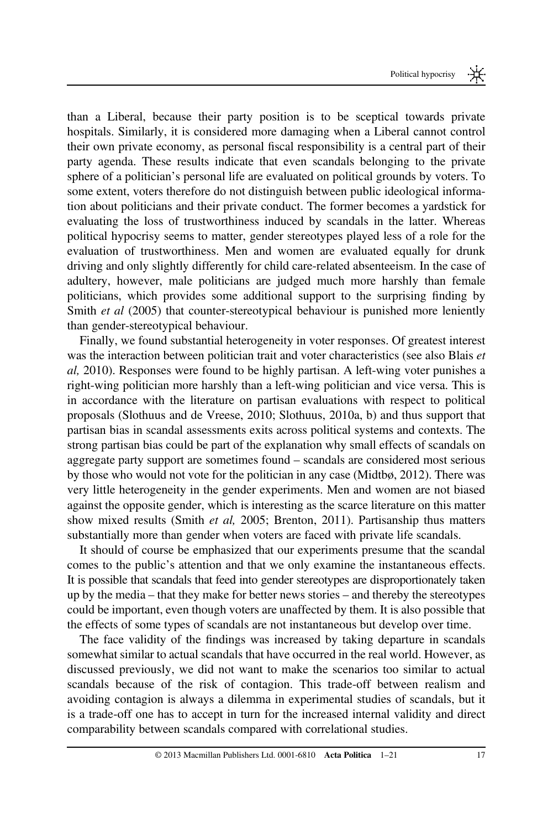than a Liberal, because their party position is to be sceptical towards private hospitals. Similarly, it is considered more damaging when a Liberal cannot control their own private economy, as personal fiscal responsibility is a central part of their party agenda. These results indicate that even scandals belonging to the private sphere of a politician's personal life are evaluated on political grounds by voters. To some extent, voters therefore do not distinguish between public ideological information about politicians and their private conduct. The former becomes a yardstick for evaluating the loss of trustworthiness induced by scandals in the latter. Whereas political hypocrisy seems to matter, gender stereotypes played less of a role for the evaluation of trustworthiness. Men and women are evaluated equally for drunk driving and only slightly differently for child care-related absenteeism. In the case of adultery, however, male politicians are judged much more harshly than female politicians, which provides some additional support to the surprising finding by Smith *et al* (2005) that counter-stereotypical behaviour is punished more leniently than gender-stereotypical behaviour.

Finally, we found substantial heterogeneity in voter responses. Of greatest interest was the interaction between politician trait and voter characteristics (see also Blais et al, 2010). Responses were found to be highly partisan. A left-wing voter punishes a right-wing politician more harshly than a left-wing politician and vice versa. This is in accordance with the literature on partisan evaluations with respect to political proposals (Slothuus and de Vreese, 2010; Slothuus, 2010a, b) and thus support that partisan bias in scandal assessments exits across political systems and contexts. The strong partisan bias could be part of the explanation why small effects of scandals on aggregate party support are sometimes found – scandals are considered most serious by those who would not vote for the politician in any case (Midtbø, 2012). There was very little heterogeneity in the gender experiments. Men and women are not biased against the opposite gender, which is interesting as the scarce literature on this matter show mixed results (Smith et al, 2005; Brenton, 2011). Partisanship thus matters substantially more than gender when voters are faced with private life scandals.

It should of course be emphasized that our experiments presume that the scandal comes to the public's attention and that we only examine the instantaneous effects. It is possible that scandals that feed into gender stereotypes are disproportionately taken up by the media – that they make for better news stories – and thereby the stereotypes could be important, even though voters are unaffected by them. It is also possible that the effects of some types of scandals are not instantaneous but develop over time.

The face validity of the findings was increased by taking departure in scandals somewhat similar to actual scandals that have occurred in the real world. However, as discussed previously, we did not want to make the scenarios too similar to actual scandals because of the risk of contagion. This trade-off between realism and avoiding contagion is always a dilemma in experimental studies of scandals, but it is a trade-off one has to accept in turn for the increased internal validity and direct comparability between scandals compared with correlational studies.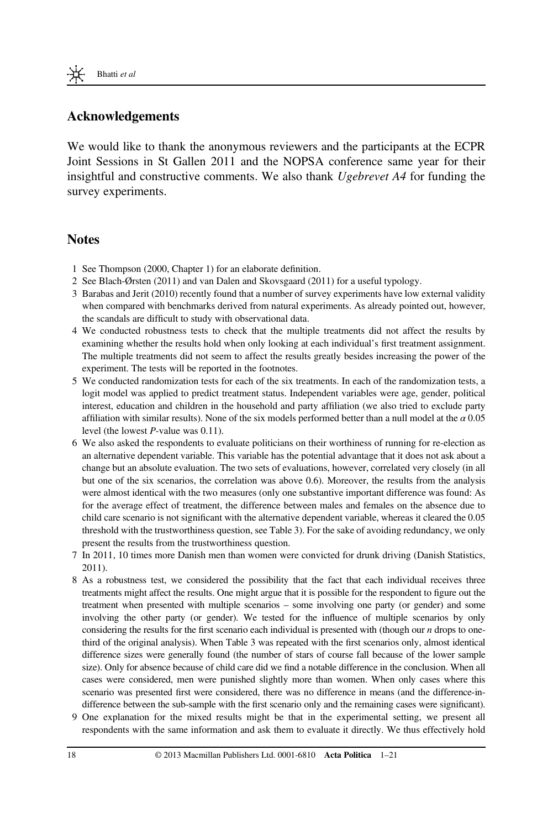

## Acknowledgements

We would like to thank the anonymous reviewers and the participants at the ECPR Joint Sessions in St Gallen 2011 and the NOPSA conference same year for their insightful and constructive comments. We also thank Ugebrevet A4 for funding the survey experiments.

#### **Notes**

- 1 See Thompson (2000, Chapter 1) for an elaborate definition.
- 2 See Blach-Ørsten (2011) and van Dalen and Skovsgaard (2011) for a useful typology.
- 3 Barabas and Jerit (2010) recently found that a number of survey experiments have low external validity when compared with benchmarks derived from natural experiments. As already pointed out, however, the scandals are difficult to study with observational data.
- 4 We conducted robustness tests to check that the multiple treatments did not affect the results by examining whether the results hold when only looking at each individual's first treatment assignment. The multiple treatments did not seem to affect the results greatly besides increasing the power of the experiment. The tests will be reported in the footnotes.
- 5 We conducted randomization tests for each of the six treatments. In each of the randomization tests, a logit model was applied to predict treatment status. Independent variables were age, gender, political interest, education and children in the household and party affiliation (we also tried to exclude party affiliation with similar results). None of the six models performed better than a null model at the  $\alpha$  0.05 level (the lowest P-value was 0.11).
- 6 We also asked the respondents to evaluate politicians on their worthiness of running for re-election as an alternative dependent variable. This variable has the potential advantage that it does not ask about a change but an absolute evaluation. The two sets of evaluations, however, correlated very closely (in all but one of the six scenarios, the correlation was above 0.6). Moreover, the results from the analysis were almost identical with the two measures (only one substantive important difference was found: As for the average effect of treatment, the difference between males and females on the absence due to child care scenario is not significant with the alternative dependent variable, whereas it cleared the 0.05 threshold with the trustworthiness question, see Table 3). For the sake of avoiding redundancy, we only present the results from the trustworthiness question.
- 7 In 2011, 10 times more Danish men than women were convicted for drunk driving (Danish Statistics, 2011).
- 8 As a robustness test, we considered the possibility that the fact that each individual receives three treatments might affect the results. One might argue that it is possible for the respondent to figure out the treatment when presented with multiple scenarios – some involving one party (or gender) and some involving the other party (or gender). We tested for the influence of multiple scenarios by only considering the results for the first scenario each individual is presented with (though our  $n$  drops to onethird of the original analysis). When Table 3 was repeated with the first scenarios only, almost identical difference sizes were generally found (the number of stars of course fall because of the lower sample size). Only for absence because of child care did we find a notable difference in the conclusion. When all cases were considered, men were punished slightly more than women. When only cases where this scenario was presented first were considered, there was no difference in means (and the difference-indifference between the sub-sample with the first scenario only and the remaining cases were significant).
- 9 One explanation for the mixed results might be that in the experimental setting, we present all respondents with the same information and ask them to evaluate it directly. We thus effectively hold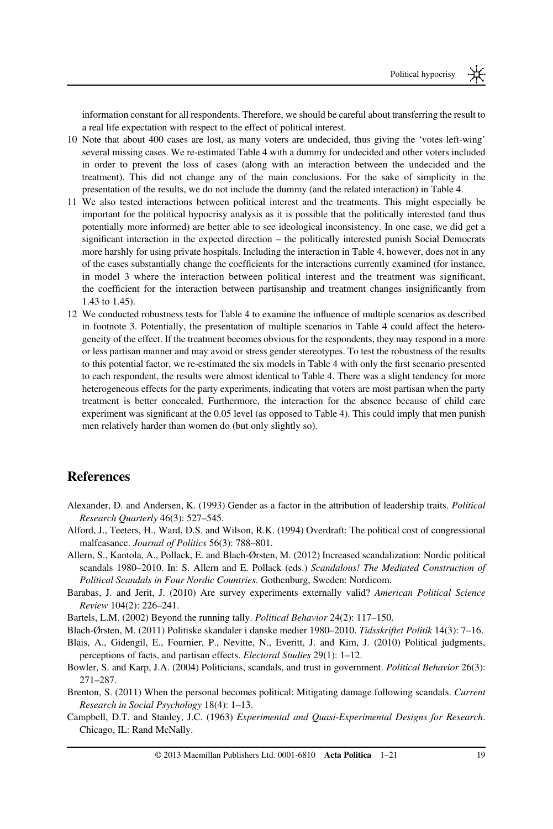information constant for all respondents. Therefore, we should be careful about transferring the result to a real life expectation with respect to the effect of political interest.

- 10 Note that about 400 cases are lost, as many voters are undecided, thus giving the 'votes left-wing' several missing cases. We re-estimated Table 4 with a dummy for undecided and other voters included in order to prevent the loss of cases (along with an interaction between the undecided and the treatment). This did not change any of the main conclusions. For the sake of simplicity in the presentation of the results, we do not include the dummy (and the related interaction) in Table 4.
- 11 We also tested interactions between political interest and the treatments. This might especially be important for the political hypocrisy analysis as it is possible that the politically interested (and thus potentially more informed) are better able to see ideological inconsistency. In one case, we did get a significant interaction in the expected direction – the politically interested punish Social Democrats more harshly for using private hospitals. Including the interaction in Table 4, however, does not in any of the cases substantially change the coefficients for the interactions currently examined (for instance, in model 3 where the interaction between political interest and the treatment was significant, the coefficient for the interaction between partisanship and treatment changes insignificantly from 1.43 to 1.45).
- 12 We conducted robustness tests for Table 4 to examine the influence of multiple scenarios as described in footnote 3. Potentially, the presentation of multiple scenarios in Table 4 could affect the heterogeneity of the effect. If the treatment becomes obvious for the respondents, they may respond in a more or less partisan manner and may avoid or stress gender stereotypes. To test the robustness of the results to this potential factor, we re-estimated the six models in Table 4 with only the first scenario presented to each respondent, the results were almost identical to Table 4. There was a slight tendency for more heterogeneous effects for the party experiments, indicating that voters are most partisan when the party treatment is better concealed. Furthermore, the interaction for the absence because of child care experiment was significant at the 0.05 level (as opposed to Table 4). This could imply that men punish men relatively harder than women do (but only slightly so).

#### **References**

- Alexander, D. and Andersen, K. (1993) Gender as a factor in the attribution of leadership traits. Political Research Quarterly 46(3): 527–545.
- Alford, J., Teeters, H., Ward, D.S. and Wilson, R.K. (1994) Overdraft: The political cost of congressional malfeasance. Journal of Politics 56(3): 788–801.
- Allern, S., Kantola, A., Pollack, E. and Blach-Ørsten, M. (2012) Increased scandalization: Nordic political scandals 1980-2010. In: S. Allern and E. Pollack (eds.) Scandalous! The Mediated Construction of Political Scandals in Four Nordic Countries. Gothenburg, Sweden: Nordicom.
- Barabas, J. and Jerit, J. (2010) Are survey experiments externally valid? American Political Science Review 104(2): 226–241.

Bartels, L.M. (2002) Beyond the running tally. Political Behavior 24(2): 117–150.

- Blach-Ørsten, M. (2011) Politiske skandaler i danske medier 1980–2010. Tidsskriftet Politik 14(3): 7–16.
- Blais, A., Gidengil, E., Fournier, P., Nevitte, N., Everitt, J. and Kim, J. (2010) Political judgments, perceptions of facts, and partisan effects. Electoral Studies 29(1): 1–12.
- Bowler, S. and Karp, J.A. (2004) Politicians, scandals, and trust in government. Political Behavior 26(3): 271–287.
- Brenton, S. (2011) When the personal becomes political: Mitigating damage following scandals. Current Research in Social Psychology 18(4): 1–13.
- Campbell, D.T. and Stanley, J.C. (1963) Experimental and Quasi-Experimental Designs for Research. Chicago, IL: Rand McNally.

© 2013 Macmillan Publishers Ltd. 0001-6810 Acta Politica 1–21 19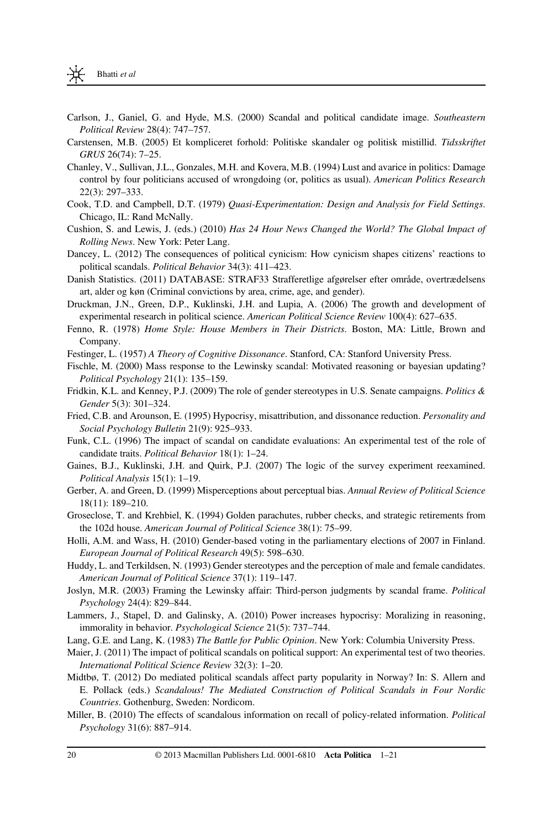- Carlson, J., Ganiel, G. and Hyde, M.S. (2000) Scandal and political candidate image. Southeastern Political Review 28(4): 747–757.
- Carstensen, M.B. (2005) Et kompliceret forhold: Politiske skandaler og politisk mistillid. Tidsskriftet GRUS 26(74): 7–25.
- Chanley, V., Sullivan, J.L., Gonzales, M.H. and Kovera, M.B. (1994) Lust and avarice in politics: Damage control by four politicians accused of wrongdoing (or, politics as usual). American Politics Research 22(3): 297–333.
- Cook, T.D. and Campbell, D.T. (1979) Quasi-Experimentation: Design and Analysis for Field Settings. Chicago, IL: Rand McNally.
- Cushion, S. and Lewis, J. (eds.) (2010) Has 24 Hour News Changed the World? The Global Impact of Rolling News. New York: Peter Lang.
- Dancey, L. (2012) The consequences of political cynicism: How cynicism shapes citizens' reactions to political scandals. Political Behavior 34(3): 411–423.
- Danish Statistics. (2011) DATABASE: STRAF33 Strafferetlige afgørelser efter område, overtrædelsens art, alder og køn (Criminal convictions by area, crime, age, and gender).
- Druckman, J.N., Green, D.P., Kuklinski, J.H. and Lupia, A. (2006) The growth and development of experimental research in political science. American Political Science Review 100(4): 627–635.
- Fenno, R. (1978) Home Style: House Members in Their Districts. Boston, MA: Little, Brown and Company.
- Festinger, L. (1957) A Theory of Cognitive Dissonance. Stanford, CA: Stanford University Press.
- Fischle, M. (2000) Mass response to the Lewinsky scandal: Motivated reasoning or bayesian updating? Political Psychology 21(1): 135–159.
- Fridkin, K.L. and Kenney, P.J. (2009) The role of gender stereotypes in U.S. Senate campaigns. Politics & Gender 5(3): 301–324.
- Fried, C.B. and Arounson, E. (1995) Hypocrisy, misattribution, and dissonance reduction. Personality and Social Psychology Bulletin 21(9): 925–933.
- Funk, C.L. (1996) The impact of scandal on candidate evaluations: An experimental test of the role of candidate traits. Political Behavior 18(1): 1–24.
- Gaines, B.J., Kuklinski, J.H. and Quirk, P.J. (2007) The logic of the survey experiment reexamined. Political Analysis 15(1): 1–19.
- Gerber, A. and Green, D. (1999) Misperceptions about perceptual bias. Annual Review of Political Science 18(11): 189–210.
- Groseclose, T. and Krehbiel, K. (1994) Golden parachutes, rubber checks, and strategic retirements from the 102d house. American Journal of Political Science 38(1): 75–99.
- Holli, A.M. and Wass, H. (2010) Gender-based voting in the parliamentary elections of 2007 in Finland. European Journal of Political Research 49(5): 598–630.
- Huddy, L. and Terkildsen, N. (1993) Gender stereotypes and the perception of male and female candidates. American Journal of Political Science 37(1): 119–147.
- Joslyn, M.R. (2003) Framing the Lewinsky affair: Third-person judgments by scandal frame. Political Psychology 24(4): 829–844.
- Lammers, J., Stapel, D. and Galinsky, A. (2010) Power increases hypocrisy: Moralizing in reasoning, immorality in behavior. Psychological Science 21(5): 737–744.
- Lang, G.E. and Lang, K. (1983) The Battle for Public Opinion. New York: Columbia University Press.
- Maier, J. (2011) The impact of political scandals on political support: An experimental test of two theories. International Political Science Review 32(3): 1–20.
- Midtbø, T. (2012) Do mediated political scandals affect party popularity in Norway? In: S. Allern and E. Pollack (eds.) Scandalous! The Mediated Construction of Political Scandals in Four Nordic Countries. Gothenburg, Sweden: Nordicom.
- Miller, B. (2010) The effects of scandalous information on recall of policy-related information. Political Psychology 31(6): 887–914.